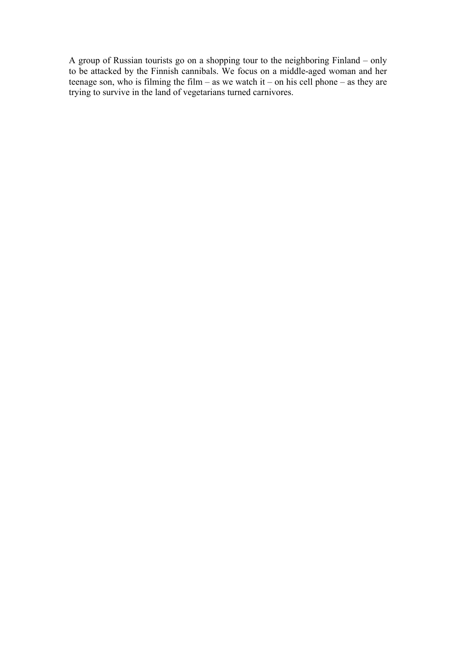A group of Russian tourists go on a shopping tour to the neighboring Finland – only to be attacked by the Finnish cannibals. We focus on a middle-aged woman and her teenage son, who is filming the film – as we watch it – on his cell phone – as they are trying to survive in the land of vegetarians turned carnivores.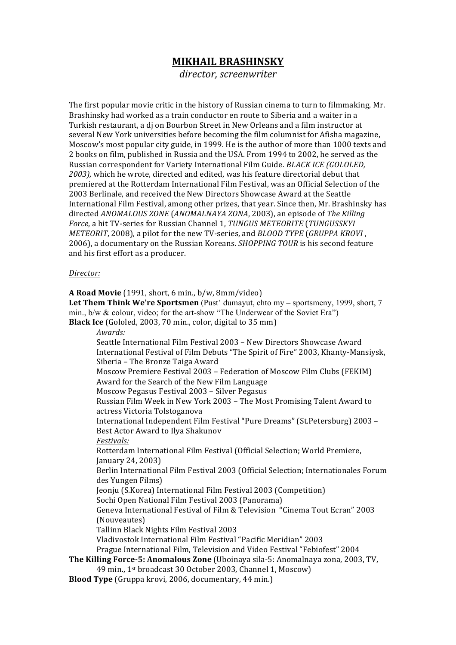## **MIKHAIL'BRASHINSKY**

*director,)screenwriter*

The first popular movie critic in the history of Russian cinema to turn to filmmaking, Mr. Brashinsky had worked as a train conductor en route to Siberia and a waiter in a Turkish restaurant, a di on Bourbon Street in New Orleans and a film instructor at several New York universities before becoming the film columnist for Afisha magazine, Moscow's most popular city guide, in 1999. He is the author of more than 1000 texts and 2 books on film, published in Russia and the USA. From 1994 to 2002, he served as the Russian correspondent for Variety International Film Guide. *BLACK ICE (GOLOLED.*) 2003), which he wrote, directed and edited, was his feature directorial debut that premiered at the Rotterdam International Film Festival, was an Official Selection of the 2003 Berlinale, and received the New Directors Showcase Award at the Seattle International Film Festival, among other prizes, that year. Since then, Mr. Brashinsky has directed *ANOMALOUS ZONE* (*ANOMALNAYA ZONA*, 2003), an episode of *The Killing Force*, a hit TV-series for Russian Channel 1, *TUNGUS METEORITE* (*TUNGUSSKYI*) *METEORIT*, 2008), a pilot for the new TV-series, and *BLOOD TYPE* (*GRUPPA KROVI*, 2006), a documentary on the Russian Koreans. *SHOPPING TOUR* is his second feature and his first effort as a producer.

## *Director:*

**A Road Movie** (1991, short, 6 min., b/w, 8mm/video) **Let Them Think We're Sportsmen** (Pust' dumayut, chto my – sportsmeny, 1999, short, 7 min., b/w & colour, video; for the art-show "The Underwear of the Soviet Era") **Black Ice** (Gololed, 2003, 70 min., color, digital to 35 mm) *Awards:* Seattle International Film Festival 2003 - New Directors Showcase Award International Festival of Film Debuts "The Spirit of Fire" 2003, Khanty-Mansiysk, Siberia – The Bronze Taiga Award Moscow Premiere Festival 2003 – Federation of Moscow Film Clubs (FEKIM) Award for the Search of the New Film Language Moscow Pegasus Festival 2003 – Silver Pegasus Russian Film Week in New York 2003 - The Most Promising Talent Award to actress Victoria Tolstoganova International Independent Film Festival "Pure Dreams" (St.Petersburg) 2003 – Best Actor Award to Ilya Shakunov *Festivals:* Rotterdam International Film Festival (Official Selection; World Premiere, January 24, 2003) Berlin International Film Festival 2003 (Official Selection; Internationales Forum des Yungen Films) Jeonju (S.Korea) International Film Festival 2003 (Competition) Sochi Open National Film Festival 2003 (Panorama) Geneva International Festival of Film & Television "Cinema Tout Ecran" 2003 (Nouveautes) Tallinn Black Nights Film Festival 2003 Vladivostok International Film Festival "Pacific Meridian" 2003 Prague International Film, Television and Video Festival "Febiofest" 2004 **The Killing Force-5: Anomalous Zone** (Uboinaya sila-5: Anomalnaya zona, 2003, TV, 49 min., 1st broadcast 30 October 2003, Channel 1, Moscow) **Blood Type** (Gruppa krovi, 2006, documentary, 44 min.)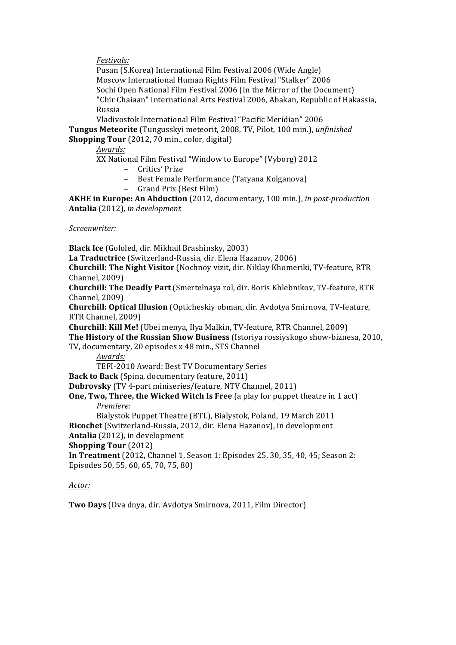*Festivals:*

Pusan (S.Korea) International Film Festival 2006 (Wide Angle) Moscow International Human Rights Film Festival "Stalker" 2006 Sochi Open National Film Festival 2006 (In the Mirror of the Document) "Chir Chaiaan" International Arts Festival 2006, Abakan, Republic of Hakassia, Russia

Vladivostok International Film Festival "Pacific Meridian" 2006 Tungus Meteorite (Tungusskyi meteorit, 2008, TV, Pilot, 100 min.), *unfinished* **Shopping Tour** (2012, 70 min., color, digital)

*Awards:*

XX National Film Festival "Window to Europe" (Vyborg) 2012

– Critics'!Prize

– Best Female Performance (Tatyana Kolganova)

- Grand Prix (Best Film)

**AKHE in Europe: An Abduction** (2012, documentary, 100 min.), *in post-production* Antalia (2012), *in development* 

*Screenwriter:*

**Black Ice** (Gololed, dir. Mikhail Brashinsky, 2003)

**La Traductrice** (Switzerland-Russia, dir. Elena Hazanov, 2006)

**Churchill: The Night Visitor** (Nochnoy vizit, dir. Niklay Khomeriki, TV-feature, RTR Channel, 2009)

**Churchill: The Deadly Part** (Smertelnaya rol, dir. Boris Khlebnikov, TV-feature, RTR Channel, 2009)

**Churchill: Optical Illusion** (Opticheskiy obman, dir. Avdotya Smirnova, TV-feature, RTR Channel, 2009)

**Churchill: Kill Me!** (Ubei menya, Ilya Malkin, TV-feature, RTR Channel, 2009)

**The History of the Russian Show Business** (Istoriya rossiyskogo show-biznesa, 2010,

TV, documentary, 20 episodes x 48 min., STS Channel

*Awards:*

TEFI-2010 Award: Best TV Documentary Series

**Back to Back** (Spina, documentary feature, 2011)

**Dubrovsky** (TV 4-part miniseries/feature, NTV Channel, 2011)

**One, Two, Three, the Wicked Witch Is Free** (a play for puppet theatre in 1 act) *Premiere:*

Bialystok Puppet Theatre (BTL), Bialystok, Poland, 19 March 2011 **Ricochet** (Switzerland-Russia, 2012, dir. Elena Hazanov), in development

Antalia (2012), in development

**Shopping'Tour** (2012)

**In Treatment** (2012, Channel 1, Season 1: Episodes 25, 30, 35, 40, 45; Season 2: Episodes 50, 55, 60, 65, 70, 75, 80)

## *Actor:*

**Two Days** (Dva dnya, dir. Avdotya Smirnova, 2011, Film Director)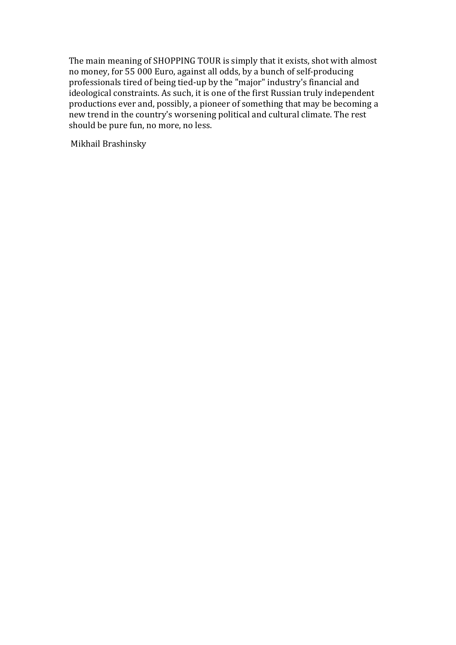The main meaning of SHOPPING TOUR is simply that it exists, shot with almost no money, for 55 000 Euro, against all odds, by a bunch of self-producing professionals tired of being tied-up by the "major" industry's financial and  $\overrightarrow{h}$  ideological constraints. As such, it is one of the first Russian truly independent productions ever and, possibly, a pioneer of something that may be becoming a new trend in the country's worsening political and cultural climate. The rest should be pure fun, no more, no less.

Mikhail Brashinsky